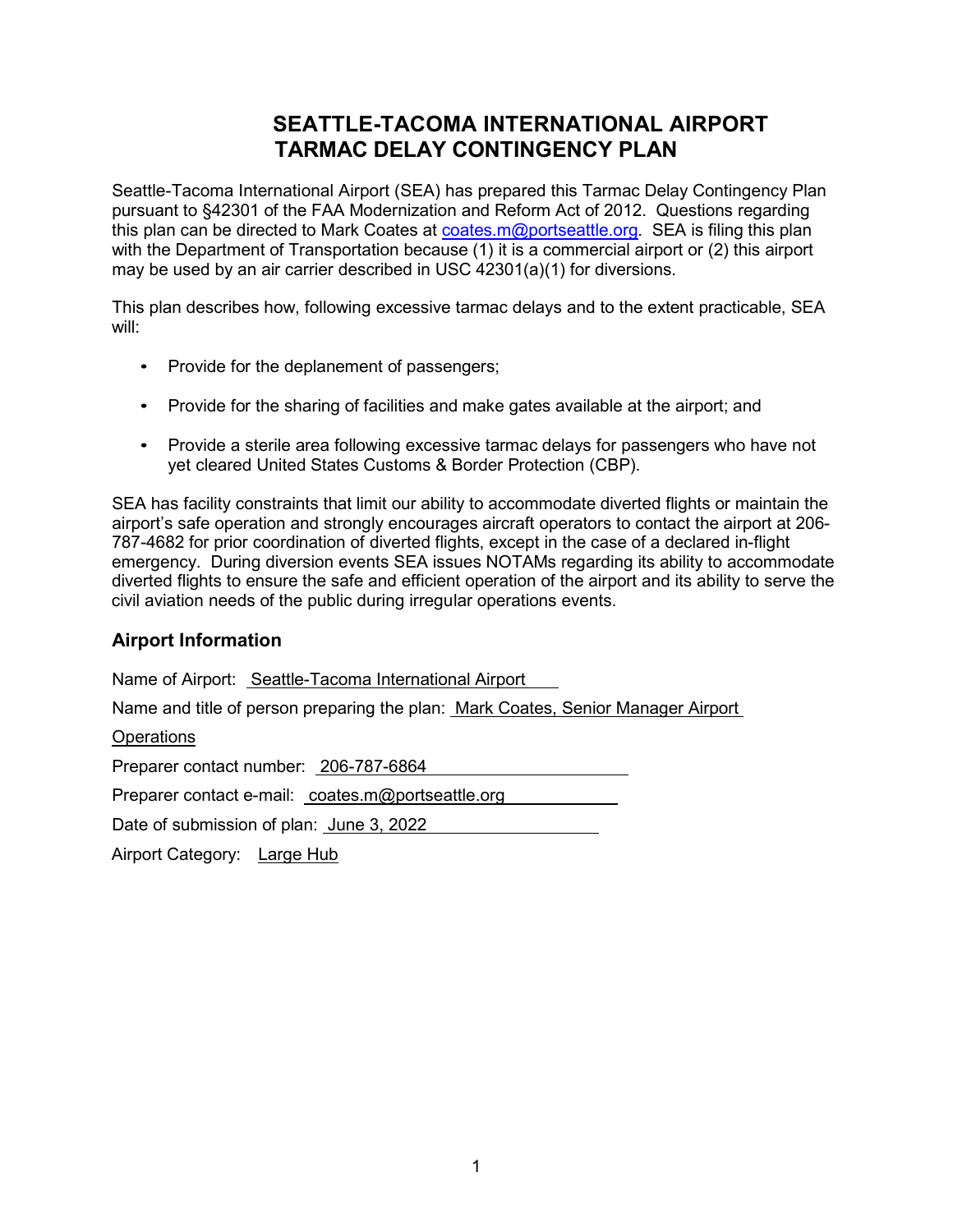# **SEATTLE-TACOMA INTERNATIONAL AIRPORT TARMAC DELAY CONTINGENCY PLAN**

Seattle-Tacoma International Airport (SEA) has prepared this Tarmac Delay Contingency Plan pursuant to §42301 of the FAA Modernization and Reform Act of 2012. Questions regarding this plan can be directed to Mark Coates at [coates.m@portseattle.org.](mailto:coates.m@portseattle.org) SEA is filing this plan with the Department of Transportation because (1) it is a commercial airport or (2) this airport may be used by an air carrier described in USC 42301(a)(1) for diversions.

This plan describes how, following excessive tarmac delays and to the extent practicable, SEA will:

- Provide for the deplanement of passengers;
- Provide for the sharing of facilities and make gates available at the airport; and
- Provide a sterile area following excessive tarmac delays for passengers who have not yet cleared United States Customs & Border Protection (CBP).

SEA has facility constraints that limit our ability to accommodate diverted flights or maintain the airport's safe operation and strongly encourages aircraft operators to contact the airport at 206- 787-4682 for prior coordination of diverted flights, except in the case of a declared in-flight emergency. During diversion events SEA issues NOTAMs regarding its ability to accommodate diverted flights to ensure the safe and efficient operation of the airport and its ability to serve the civil aviation needs of the public during irregular operations events.

## **Airport Information**

Name of Airport: Seattle-Tacoma International Airport

Name and title of person preparing the plan: Mark Coates, Senior Manager Airport

#### **Operations**

Preparer contact number: 206-787-6864

Preparer contact e-mail: coates.m@portseattle.org

Date of submission of plan: June 3, 2022

Airport Category: Large Hub